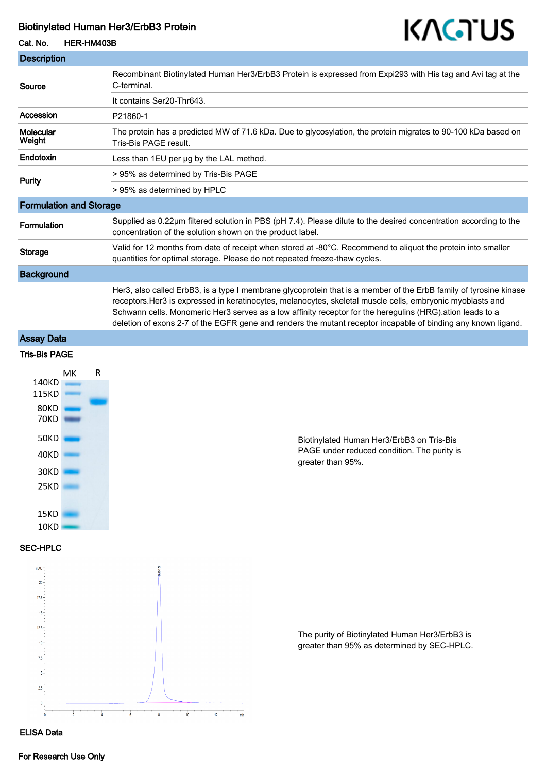## Biotinylated Human Her3/ErbB3 Protein

Cat. No. HER-HM403B



| <b>Description</b>             |                                                                                                                                                                                                                                                                                                                                                                                                                                                               |
|--------------------------------|---------------------------------------------------------------------------------------------------------------------------------------------------------------------------------------------------------------------------------------------------------------------------------------------------------------------------------------------------------------------------------------------------------------------------------------------------------------|
| Source                         | Recombinant Biotinylated Human Her3/ErbB3 Protein is expressed from Expi293 with His tag and Avi tag at the<br>C-terminal.                                                                                                                                                                                                                                                                                                                                    |
|                                | It contains Ser20-Thr643.                                                                                                                                                                                                                                                                                                                                                                                                                                     |
| Accession                      | P21860-1                                                                                                                                                                                                                                                                                                                                                                                                                                                      |
| Molecular<br>Weight            | The protein has a predicted MW of 71.6 kDa. Due to glycosylation, the protein migrates to 90-100 kDa based on<br>Tris-Bis PAGE result.                                                                                                                                                                                                                                                                                                                        |
| Endotoxin                      | Less than 1EU per ug by the LAL method.                                                                                                                                                                                                                                                                                                                                                                                                                       |
| <b>Purity</b>                  | > 95% as determined by Tris-Bis PAGE                                                                                                                                                                                                                                                                                                                                                                                                                          |
|                                | > 95% as determined by HPLC                                                                                                                                                                                                                                                                                                                                                                                                                                   |
| <b>Formulation and Storage</b> |                                                                                                                                                                                                                                                                                                                                                                                                                                                               |
| Formulation                    | Supplied as 0.22µm filtered solution in PBS (pH 7.4). Please dilute to the desired concentration according to the<br>concentration of the solution shown on the product label.                                                                                                                                                                                                                                                                                |
| <b>Storage</b>                 | Valid for 12 months from date of receipt when stored at -80°C. Recommend to aliquot the protein into smaller<br>quantities for optimal storage. Please do not repeated freeze-thaw cycles.                                                                                                                                                                                                                                                                    |
| <b>Background</b>              |                                                                                                                                                                                                                                                                                                                                                                                                                                                               |
|                                | Her3, also called ErbB3, is a type I membrane glycoprotein that is a member of the ErbB family of tyrosine kinase<br>receptors. Her3 is expressed in keratinocytes, melanocytes, skeletal muscle cells, embryonic myoblasts and<br>Schwann cells. Monomeric Her3 serves as a low affinity receptor for the heregulins (HRG) ation leads to a<br>deletion of exons 2-7 of the EGFR gene and renders the mutant receptor incapable of binding any known ligand. |

Assay Data

## Tris-Bis PAGE



Biotinylated Human Her3/ErbB3 on Tris-Bis PAGE under reduced condition. The purity is greater than 95%.

SEC-HPLC



The purity of Biotinylated Human Her3/ErbB3 is greater than 95% as determined by SEC-HPLC.